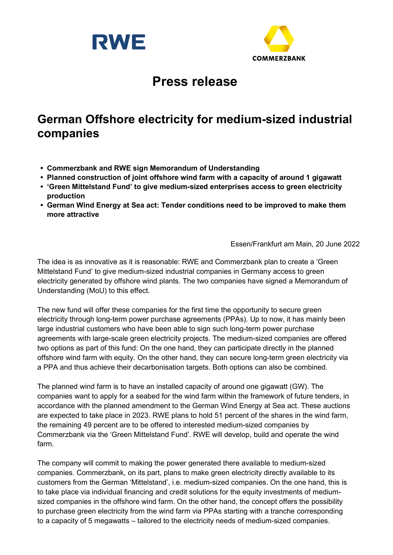



# Press release

## German Offshore electricity for medium-sized industrial companies

- Commerzbank and RWE sign Memorandum of Understanding
- Planned construction of joint offshore wind farm with a capacity of around 1 gigawatt
- 'Green Mittelstand Fund' to give medium-sized enterprises access to green electricity production
- German Wind Energy at Sea act: Tender conditions need to be improved to make them more attractive

Essen/Frankfurt am Main, 20 June 2022

The idea is as innovative as it is reasonable: RWE and Commerzbank plan to create a 'Green Mittelstand Fund' to give medium-sized industrial companies in Germany access to green electricity generated by offshore wind plants. The two companies have signed a Memorandum of Understanding (MoU) to this effect.

The new fund will offer these companies for the first time the opportunity to secure green electricity through long-term power purchase agreements (PPAs). Up to now, it has mainly been large industrial customers who have been able to sign such long-term power purchase agreements with large-scale green electricity projects. The medium-sized companies are offered two options as part of this fund: On the one hand, they can participate directly in the planned offshore wind farm with equity. On the other hand, they can secure long-term green electricity via a PPA and thus achieve their decarbonisation targets. Both options can also be combined.

The planned wind farm is to have an installed capacity of around one gigawatt (GW). The companies want to apply for a seabed for the wind farm within the framework of future tenders, in accordance with the planned amendment to the German Wind Energy at Sea act. These auctions are expected to take place in 2023. RWE plans to hold 51 percent of the shares in the wind farm, the remaining 49 percent are to be offered to interested medium-sized companies by Commerzbank via the 'Green Mittelstand Fund'. RWE will develop, build and operate the wind farm.

The company will commit to making the power generated there available to medium-sized companies. Commerzbank, on its part, plans to make green electricity directly available to its customers from the German 'Mittelstand', i.e. medium-sized companies. On the one hand, this is to take place via individual financing and credit solutions for the equity investments of mediumsized companies in the offshore wind farm. On the other hand, the concept offers the possibility to purchase green electricity from the wind farm via PPAs starting with a tranche corresponding to a capacity of 5 megawatts – tailored to the electricity needs of medium-sized companies.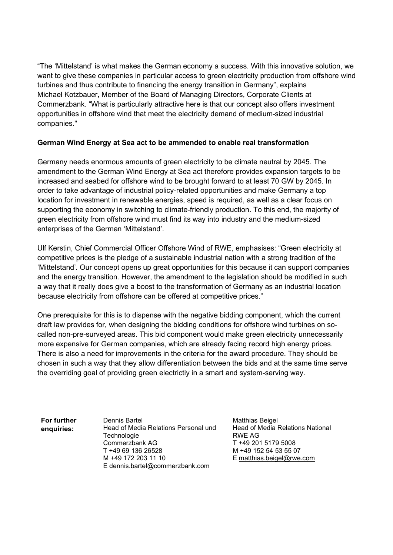"The 'Mittelstand' is what makes the German economy a success. With this innovative solution, we want to give these companies in particular access to green electricity production from offshore wind turbines and thus contribute to financing the energy transition in Germany", explains Michael Kotzbauer, Member of the Board of Managing Directors, Corporate Clients at Commerzbank. "What is particularly attractive here is that our concept also offers investment opportunities in offshore wind that meet the electricity demand of medium-sized industrial companies."

### German Wind Energy at Sea act to be ammended to enable real transformation

Germany needs enormous amounts of green electricity to be climate neutral by 2045. The amendment to the German Wind Energy at Sea act therefore provides expansion targets to be increased and seabed for offshore wind to be brought forward to at least 70 GW by 2045. In order to take advantage of industrial policy-related opportunities and make Germany a top location for investment in renewable energies, speed is required, as well as a clear focus on supporting the economy in switching to climate-friendly production. To this end, the majority of green electricity from offshore wind must find its way into industry and the medium-sized enterprises of the German 'Mittelstand'.

Ulf Kerstin, Chief Commercial Officer Offshore Wind of RWE, emphasises: "Green electricity at competitive prices is the pledge of a sustainable industrial nation with a strong tradition of the 'Mittelstand'. Our concept opens up great opportunities for this because it can support companies and the energy transition. However, the amendment to the legislation should be modified in such a way that it really does give a boost to the transformation of Germany as an industrial location because electricity from offshore can be offered at competitive prices."

One prerequisite for this is to dispense with the negative bidding component, which the current draft law provides for, when designing the bidding conditions for offshore wind turbines on socalled non-pre-surveyed areas. This bid component would make green electricity unnecessarily more expensive for German companies, which are already facing record high energy prices. There is also a need for improvements in the criteria for the award procedure. They should be chosen in such a way that they allow differentiation between the bids and at the same time serve the overriding goal of providing green electrictiy in a smart and system-serving way.

For further enquiries:

Dennis Bartel Head of Media Relations Personal und **Technologie** Commerzbank AG T +49 69 136 26528 M +49 172 203 11 10 E dennis.bartel@commerzbank.com

Matthias Beigel Head of Media Relations National RWE AG T +49 201 5179 5008 M +49 152 54 53 55 07 E matthias.beigel@rwe.com